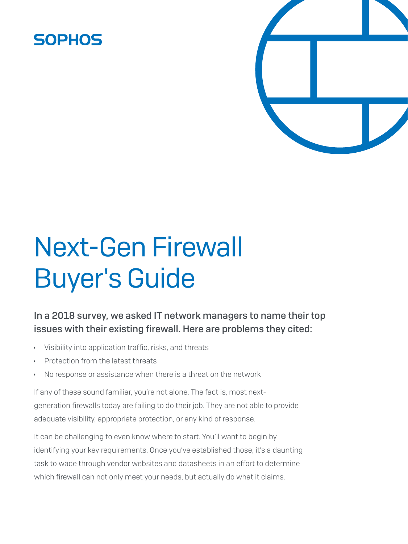### **SOPHOS**



# Next-Gen Firewall Buyer's Guide

#### In a 2018 survey, we asked IT network managers to name their top issues with their existing firewall. Here are problems they cited:

- Visibility into application traffic, risks, and threats
- Protection from the latest threats
- No response or assistance when there is a threat on the network

If any of these sound familiar, you're not alone. The fact is, most nextgeneration firewalls today are failing to do their job. They are not able to provide adequate visibility, appropriate protection, or any kind of response.

It can be challenging to even know where to start. You'll want to begin by identifying your key requirements. Once you've established those, it's a daunting task to wade through vendor websites and datasheets in an effort to determine which firewall can not only meet your needs, but actually do what it claims.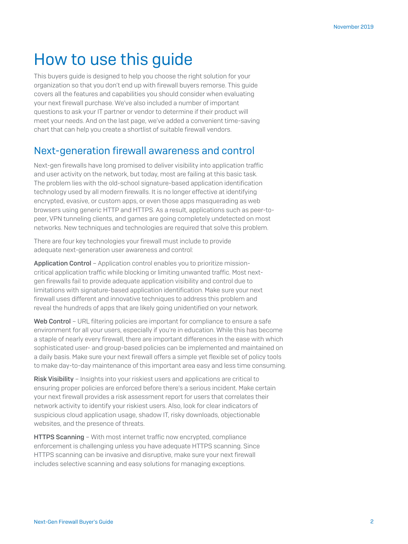## How to use this guide

This buyers guide is designed to help you choose the right solution for your organization so that you don't end up with firewall buyers remorse. This guide covers all the features and capabilities you should consider when evaluating your next firewall purchase. We've also included a number of important questions to ask your IT partner or vendor to determine if their product will meet your needs. And on the last page, we've added a convenient time-saving chart that can help you create a shortlist of suitable firewall vendors.

#### Next-generation firewall awareness and control

Next-gen firewalls have long promised to deliver visibility into application traffic and user activity on the network, but today, most are failing at this basic task. The problem lies with the old-school signature-based application identification technology used by all modern firewalls. It is no longer effective at identifying encrypted, evasive, or custom apps, or even those apps masquerading as web browsers using generic HTTP and HTTPS. As a result, applications such as peer-topeer, VPN tunneling clients, and games are going completely undetected on most networks. New techniques and technologies are required that solve this problem.

There are four key technologies your firewall must include to provide adequate next-generation user awareness and control:

Application Control - Application control enables you to prioritize missioncritical application traffic while blocking or limiting unwanted traffic. Most nextgen firewalls fail to provide adequate application visibility and control due to limitations with signature-based application identification. Make sure your next firewall uses different and innovative techniques to address this problem and reveal the hundreds of apps that are likely going unidentified on your network.

Web Control - URL filtering policies are important for compliance to ensure a safe environment for all your users, especially if you're in education. While this has become a staple of nearly every firewall, there are important differences in the ease with which sophisticated user- and group-based policies can be implemented and maintained on a daily basis. Make sure your next firewall offers a simple yet flexible set of policy tools to make day-to-day maintenance of this important area easy and less time consuming.

Risk Visibility – Insights into your riskiest users and applications are critical to ensuring proper policies are enforced before there's a serious incident. Make certain your next firewall provides a risk assessment report for users that correlates their network activity to identify your riskiest users. Also, look for clear indicators of suspicious cloud application usage, shadow IT, risky downloads, objectionable websites, and the presence of threats.

**HTTPS Scanning** – With most internet traffic now encrypted, compliance enforcement is challenging unless you have adequate HTTPS scanning. Since HTTPS scanning can be invasive and disruptive, make sure your next firewall includes selective scanning and easy solutions for managing exceptions.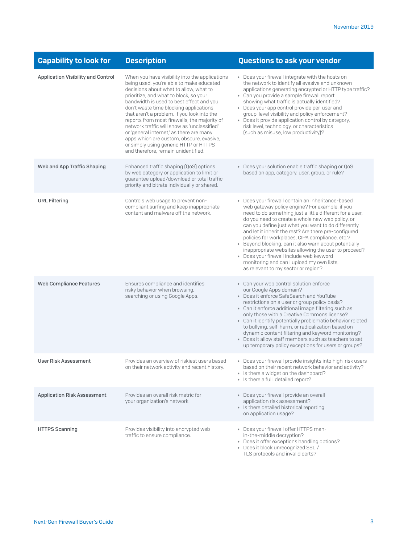| <b>Capability to look for</b>      | <b>Description</b>                                                                                                                                                                                                                                                                                                                                                                                                                                                                                                                                                                         | <b>Questions to ask your vendor</b>                                                                                                                                                                                                                                                                                                                                                                                                                                                                                                                                                                                                  |
|------------------------------------|--------------------------------------------------------------------------------------------------------------------------------------------------------------------------------------------------------------------------------------------------------------------------------------------------------------------------------------------------------------------------------------------------------------------------------------------------------------------------------------------------------------------------------------------------------------------------------------------|--------------------------------------------------------------------------------------------------------------------------------------------------------------------------------------------------------------------------------------------------------------------------------------------------------------------------------------------------------------------------------------------------------------------------------------------------------------------------------------------------------------------------------------------------------------------------------------------------------------------------------------|
| Application Visibility and Control | When you have visibility into the applications<br>being used, you're able to make educated<br>decisions about what to allow, what to<br>prioritize, and what to block, so your<br>bandwidth is used to best effect and you<br>don't waste time blocking applications<br>that aren't a problem. If you look into the<br>reports from most firewalls, the majority of<br>network traffic will show as 'unclassified'<br>or 'general internet,' as there are many<br>apps which are custom, obscure, evasive,<br>or simply using generic HTTP or HTTPS<br>and therefore, remain unidentified. | ▶ Does your firewall integrate with the hosts on<br>the network to identify all evasive and unknown<br>applications generating encrypted or HTTP type traffic?<br>Can you provide a sample firewall report<br>showing what traffic is actually identified?<br>• Does your app control provide per-user and<br>group-level visibility and policy enforcement?<br>▶ Does it provide application control by category,<br>risk level, technology, or characteristics<br>(such as misuse, low productivity)?                                                                                                                              |
| Web and App Traffic Shaping        | Enhanced traffic shaping (QoS) options<br>by web category or application to limit or<br>guarantee upload/download or total traffic<br>priority and bitrate individually or shared.                                                                                                                                                                                                                                                                                                                                                                                                         | Does your solution enable traffic shaping or QoS<br>based on app, category, user, group, or rule?                                                                                                                                                                                                                                                                                                                                                                                                                                                                                                                                    |
| <b>URL Filtering</b>               | Controls web usage to prevent non-<br>compliant surfing and keep inappropriate<br>content and malware off the network.                                                                                                                                                                                                                                                                                                                                                                                                                                                                     | Does your firewall contain an inheritance-based<br>web gateway policy engine? For example, if you<br>need to do something just a little different for a user,<br>do you need to create a whole new web policy, or<br>can you define just what you want to do differently,<br>and let it inherit the rest? Are there pre-configured<br>policies for workplaces, CIPA compliance, etc.?<br>▶ Beyond blocking, can it also warn about potentially<br>inappropriate websites allowing the user to proceed?<br>Does your firewall include web keyword<br>monitoring and can I upload my own lists,<br>as relevant to my sector or region? |
| <b>Web Compliance Features</b>     | Ensures compliance and identifies<br>risky behavior when browsing,<br>searching or using Google Apps.                                                                                                                                                                                                                                                                                                                                                                                                                                                                                      | Can your web control solution enforce<br>our Google Apps domain?<br>Does it enforce SafeSearch and YouTube<br>restrictions on a user or group policy basis?<br>Can it enforce additional image filtering such as<br>only those with a Creative Commons license?<br>Can it identify potentially problematic behavior related<br>to bullying, self-harm, or radicalization based on<br>dynamic content filtering and keyword monitoring?<br>Does it allow staff members such as teachers to set<br>up temporary policy exceptions for users or groups?                                                                                 |
| <b>User Risk Assessment</b>        | Provides an overview of riskiest users based<br>on their network activity and recent history.                                                                                                                                                                                                                                                                                                                                                                                                                                                                                              | Does your firewall provide insights into high-risk users<br>based on their recent network behavior and activity?<br>> Is there a widget on the dashboard?<br>> Is there a full, detailed report?                                                                                                                                                                                                                                                                                                                                                                                                                                     |
| <b>Application Risk Assessment</b> | Provides an overall risk metric for<br>your organization's network.                                                                                                                                                                                                                                                                                                                                                                                                                                                                                                                        | Does your firewall provide an overall<br>application risk assessment?<br>> Is there detailed historical reporting<br>on application usage?                                                                                                                                                                                                                                                                                                                                                                                                                                                                                           |
| <b>HTTPS Scanning</b>              | Provides visibility into encrypted web<br>traffic to ensure compliance.                                                                                                                                                                                                                                                                                                                                                                                                                                                                                                                    | Does your firewall offer HTTPS man-<br>in-the-middle decryption?<br>Does it offer exceptions handling options?<br>Does it block unrecognized SSL /<br>TLS protocols and invalid certs?                                                                                                                                                                                                                                                                                                                                                                                                                                               |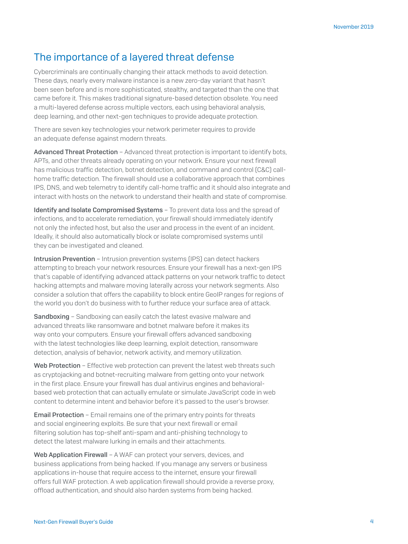#### The importance of a layered threat defense

Cybercriminals are continually changing their attack methods to avoid detection. These days, nearly every malware instance is a new zero-day variant that hasn't been seen before and is more sophisticated, stealthy, and targeted than the one that came before it. This makes traditional signature-based detection obsolete. You need a multi-layered defense across multiple vectors, each using behavioral analysis, deep learning, and other next-gen techniques to provide adequate protection.

There are seven key technologies your network perimeter requires to provide an adequate defense against modern threats.

Advanced Threat Protection - Advanced threat protection is important to identify bots, APTs, and other threats already operating on your network. Ensure your next firewall has malicious traffic detection, botnet detection, and command and control (C&C) callhome traffic detection. The firewall should use a collaborative approach that combines IPS, DNS, and web telemetry to identify call-home traffic and it should also integrate and interact with hosts on the network to understand their health and state of compromise.

Identify and Isolate Compromised Systems - To prevent data loss and the spread of infections, and to accelerate remediation, your firewall should immediately identify not only the infected host, but also the user and process in the event of an incident. Ideally, it should also automatically block or isolate compromised systems until they can be investigated and cleaned.

Intrusion Prevention - Intrusion prevention systems (IPS) can detect hackers attempting to breach your network resources. Ensure your firewall has a next-gen IPS that's capable of identifying advanced attack patterns on your network traffic to detect hacking attempts and malware moving laterally across your network segments. Also consider a solution that offers the capability to block entire GeoIP ranges for regions of the world you don't do business with to further reduce your surface area of attack.

Sandboxing - Sandboxing can easily catch the latest evasive malware and advanced threats like ransomware and botnet malware before it makes its way onto your computers. Ensure your firewall offers advanced sandboxing with the latest technologies like deep learning, exploit detection, ransomware detection, analysis of behavior, network activity, and memory utilization.

Web Protection - Effective web protection can prevent the latest web threats such as cryptojacking and botnet-recruiting malware from getting onto your network in the first place. Ensure your firewall has dual antivirus engines and behavioralbased web protection that can actually emulate or simulate JavaScript code in web content to determine intent and behavior before it's passed to the user's browser.

**Email Protection** – Email remains one of the primary entry points for threats and social engineering exploits. Be sure that your next firewall or email filtering solution has top-shelf anti-spam and anti-phishing technology to detect the latest malware lurking in emails and their attachments.

Web Application Firewall - A WAF can protect your servers, devices, and business applications from being hacked. If you manage any servers or business applications in-house that require access to the internet, ensure your firewall offers full WAF protection. A web application firewall should provide a reverse proxy, offload authentication, and should also harden systems from being hacked.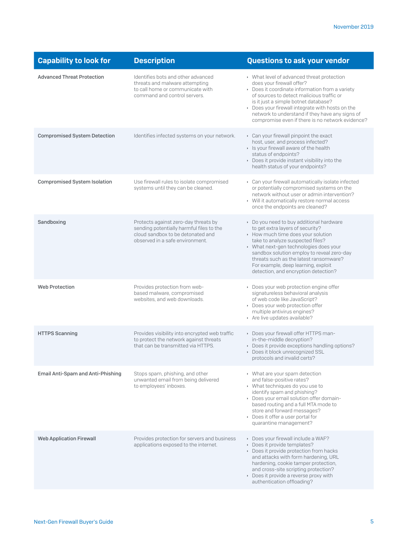| <b>Capability to look for</b>            | <b>Description</b>                                                                                                                                       | <b>Questions to ask your vendor</b>                                                                                                                                                                                                                                                                                                                                     |
|------------------------------------------|----------------------------------------------------------------------------------------------------------------------------------------------------------|-------------------------------------------------------------------------------------------------------------------------------------------------------------------------------------------------------------------------------------------------------------------------------------------------------------------------------------------------------------------------|
| <b>Advanced Threat Protection</b>        | Identifies bots and other advanced<br>threats and malware attempting<br>to call home or communicate with<br>command and control servers.                 | ▶ What level of advanced threat protection<br>does your firewall offer?<br>Does it coordinate information from a variety<br>of sources to detect malicious traffic or<br>is it just a simple botnet database?<br>Does your firewall integrate with hosts on the<br>network to understand if they have any signs of<br>compromise even if there is no network evidence?  |
| <b>Compromised System Detection</b>      | Identifies infected systems on your network.                                                                                                             | Can your firewall pinpoint the exact<br>host, user, and process infected?<br>> Is your firewall aware of the health<br>status of endpoints?<br>Does it provide instant visibility into the<br>health status of your endpoints?                                                                                                                                          |
| <b>Compromised System Isolation</b>      | Use firewall rules to isolate compromised<br>systems until they can be cleaned.                                                                          | Can your firewall automatically isolate infected<br>or potentially compromised systems on the<br>network without user or admin intervention?<br>• Will it automatically restore normal access<br>once the endpoints are cleaned?                                                                                                                                        |
| Sandboxing                               | Protects against zero-day threats by<br>sending potentially harmful files to the<br>cloud sandbox to be detonated and<br>observed in a safe environment. | • Do you need to buy additional hardware<br>to get extra layers of security?<br>• How much time does your solution<br>take to analyze suspected files?<br>▶ What next-gen technologies does your<br>sandbox solution employ to reveal zero-day<br>threats such as the latest ransomware?<br>For example, deep learning, exploit<br>detection, and encryption detection? |
| <b>Web Protection</b>                    | Provides protection from web-<br>based malware, compromised<br>websites, and web downloads.                                                              | • Does your web protection engine offer<br>signatureless behavioral analysis<br>of web code like JavaScript?<br>• Does your web protection offer<br>multiple antivirus engines?<br>Are live updates available?                                                                                                                                                          |
| <b>HTTPS Scanning</b>                    | Provides visibility into encrypted web traffic<br>to protect the network against threats<br>that can be transmitted via HTTPS.                           | Does your firewall offer HTTPS man-<br>in-the-middle decryption?<br>Does it provide exceptions handling options?<br>Does it block unrecognized SSL<br>protocols and invalid certs?                                                                                                                                                                                      |
| <b>Email Anti-Spam and Anti-Phishing</b> | Stops spam, phishing, and other<br>unwanted email from being delivered<br>to employees' inboxes.                                                         | • What are your spam detection<br>and false-positive rates?<br>▶ What techniques do you use to<br>identify spam and phishing?<br>Does your email solution offer domain-<br>based routing and a full MTA mode to<br>store and forward messages?<br>Does it offer a user portal for<br>quarantine management?                                                             |
| <b>Web Application Firewall</b>          | Provides protection for servers and business<br>applications exposed to the internet.                                                                    | Does your firewall include a WAF?<br>Does it provide templates?<br>Does it provide protection from hacks<br>and attacks with form hardening, URL<br>hardening, cookie tamper protection,<br>and cross-site scripting protection?<br>• Does it provide a reverse proxy with<br>authentication offloading?                                                                |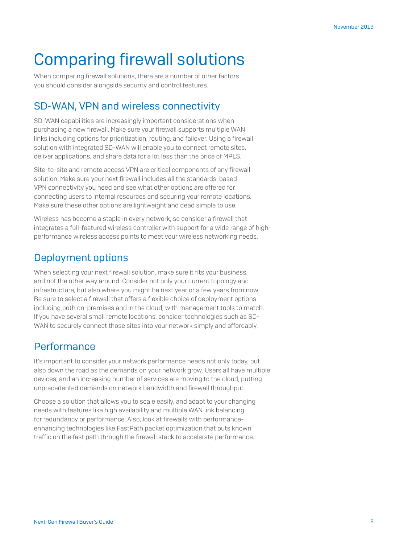# Comparing firewall solutions

When comparing firewall solutions, there are a number of other factors you should consider alongside security and control features.

#### SD-WAN, VPN and wireless connectivity

SD-WAN capabilities are increasingly important considerations when purchasing a new firewall. Make sure your firewall supports multiple WAN links including options for prioritization, routing, and failover. Using a firewall solution with integrated SD-WAN will enable you to connect remote sites, deliver applications, and share data for a lot less than the price of MPLS.

Site-to-site and remote access VPN are critical components of any firewall solution. Make sure your next firewall includes all the standards-based VPN connectivity you need and see what other options are offered for connecting users to internal resources and securing your remote locations. Make sure these other options are lightweight and dead simple to use.

Wireless has become a staple in every network, so consider a firewall that integrates a full-featured wireless controller with support for a wide range of highperformance wireless access points to meet your wireless networking needs.

#### Deployment options

When selecting your next firewall solution, make sure it fits your business, and not the other way around. Consider not only your current topology and infrastructure, but also where you might be next year or a few years from now. Be sure to select a firewall that offers a flexible choice of deployment options including both on-premises and in the cloud, with management tools to match. If you have several small remote locations, consider technologies such as SD-WAN to securely connect those sites into your network simply and affordably.

#### **Performance**

It's important to consider your network performance needs not only today, but also down the road as the demands on your network grow. Users all have multiple devices, and an increasing number of services are moving to the cloud, putting unprecedented demands on network bandwidth and firewall throughput.

Choose a solution that allows you to scale easily, and adapt to your changing needs with features like high availability and multiple WAN link balancing for redundancy or performance. Also, look at firewalls with performanceenhancing technologies like FastPath packet optimization that puts known traffic on the fast path through the firewall stack to accelerate performance.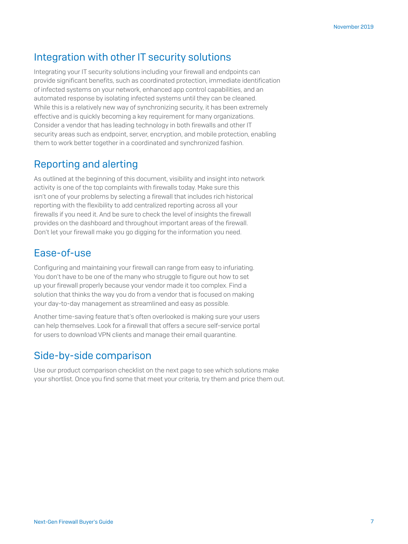#### Integration with other IT security solutions

Integrating your IT security solutions including your firewall and endpoints can provide significant benefits, such as coordinated protection, immediate identification of infected systems on your network, enhanced app control capabilities, and an automated response by isolating infected systems until they can be cleaned. While this is a relatively new way of synchronizing security, it has been extremely effective and is quickly becoming a key requirement for many organizations. Consider a vendor that has leading technology in both firewalls and other IT security areas such as endpoint, server, encryption, and mobile protection, enabling them to work better together in a coordinated and synchronized fashion.

#### Reporting and alerting

As outlined at the beginning of this document, visibility and insight into network activity is one of the top complaints with firewalls today. Make sure this isn't one of your problems by selecting a firewall that includes rich historical reporting with the flexibility to add centralized reporting across all your firewalls if you need it. And be sure to check the level of insights the firewall provides on the dashboard and throughout important areas of the firewall. Don't let your firewall make you go digging for the information you need.

#### Ease-of-use

Configuring and maintaining your firewall can range from easy to infuriating. You don't have to be one of the many who struggle to figure out how to set up your firewall properly because your vendor made it too complex. Find a solution that thinks the way you do from a vendor that is focused on making your day-to-day management as streamlined and easy as possible.

Another time-saving feature that's often overlooked is making sure your users can help themselves. Look for a firewall that offers a secure self-service portal for users to download VPN clients and manage their email quarantine.

#### Side-by-side comparison

Use our product comparison checklist on the next page to see which solutions make your shortlist. Once you find some that meet your criteria, try them and price them out.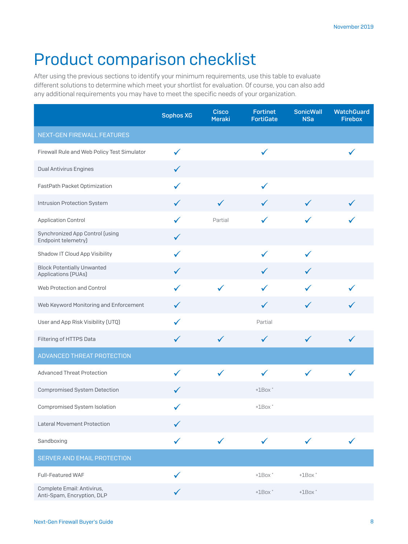# Product comparison checklist

After using the previous sections to identify your minimum requirements, use this table to evaluate different solutions to determine which meet your shortlist for evaluation. Of course, you can also add any additional requirements you may have to meet the specific needs of your organization.

|                                                          | <b>Sophos XG</b> | <b>Cisco</b><br><b>Meraki</b> | <b>Fortinet</b><br><b>FortiGate</b> | <b>SonicWall</b><br><b>NSa</b> | <b>WatchGuard</b><br><b>Firebox</b> |
|----------------------------------------------------------|------------------|-------------------------------|-------------------------------------|--------------------------------|-------------------------------------|
| NEXT-GEN FIREWALL FEATURES                               |                  |                               |                                     |                                |                                     |
| Firewall Rule and Web Policy Test Simulator              | ✓                |                               | $\checkmark$                        |                                |                                     |
| <b>Dual Antivirus Engines</b>                            | $\checkmark$     |                               |                                     |                                |                                     |
| FastPath Packet Optimization                             | ✓                |                               | $\checkmark$                        |                                |                                     |
| Intrusion Protection System                              | $\checkmark$     | $\checkmark$                  | $\checkmark$                        | $\checkmark$                   |                                     |
| <b>Application Control</b>                               | $\checkmark$     | Partial                       | $\checkmark$                        | $\checkmark$                   |                                     |
| Synchronized App Control (using<br>Endpoint telemetry)   | $\checkmark$     |                               |                                     |                                |                                     |
| Shadow IT Cloud App Visibility                           | ✓                |                               | $\checkmark$                        | $\checkmark$                   |                                     |
| <b>Block Potentially Unwanted</b><br>Applications (PUAs) | $\checkmark$     |                               | $\checkmark$                        | $\checkmark$                   |                                     |
| Web Protection and Control                               | ✓                | $\checkmark$                  | ✓                                   | $\checkmark$                   |                                     |
| Web Keyword Monitoring and Enforcement                   | $\checkmark$     |                               | $\checkmark$                        | $\checkmark$                   |                                     |
| User and App Risk Visibility (UTQ)                       | ✓                |                               | Partial                             |                                |                                     |
| Filtering of HTTPS Data                                  | $\checkmark$     | $\checkmark$                  | $\checkmark$                        | $\checkmark$                   | $\checkmark$                        |
| ADVANCED THREAT PROTECTION                               |                  |                               |                                     |                                |                                     |
| <b>Advanced Threat Protection</b>                        | $\checkmark$     | $\checkmark$                  | $\checkmark$                        | $\checkmark$                   | $\checkmark$                        |
| Compromised System Detection                             | $\checkmark$     |                               | $+1$ Box $*$                        |                                |                                     |
| Compromised System Isolation                             |                  |                               | $+1$ Box $*$                        |                                |                                     |
| <b>Lateral Movement Protection</b>                       |                  |                               |                                     |                                |                                     |
| Sandboxing                                               | ✓                | $\checkmark$                  | $\checkmark$                        | $\checkmark$                   | $\checkmark$                        |
| <b>SERVER AND EMAIL PROTECTION</b>                       |                  |                               |                                     |                                |                                     |
| Full-Featured WAF                                        | ✓                |                               | $+1$ Box $*$                        | $+1$ Box $*$                   |                                     |
| Complete Email: Antivirus,<br>Anti-Spam, Encryption, DLP | ✓                |                               | $+1$ Box $*$                        | $+1$ Box $*$                   |                                     |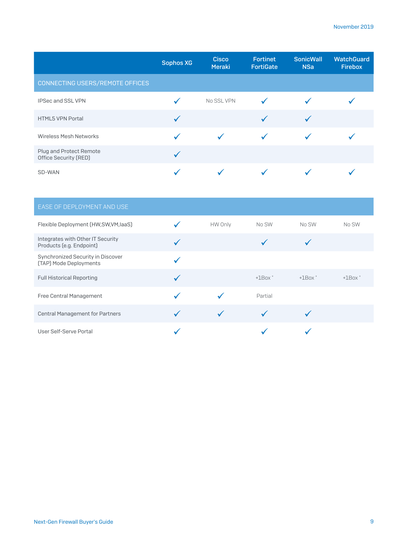|                                                  | <b>Sophos XG</b> | <b>Cisco</b><br><b>Meraki</b> | <b>Fortinet</b><br><b>FortiGate</b> | <b>SonicWall</b><br><b>NSa</b> | <b>WatchGuard</b><br><b>Firebox</b> |
|--------------------------------------------------|------------------|-------------------------------|-------------------------------------|--------------------------------|-------------------------------------|
| CONNECTING USERS/REMOTE OFFICES                  |                  |                               |                                     |                                |                                     |
| <b>IPSec and SSL VPN</b>                         |                  | No SSL VPN                    |                                     |                                |                                     |
| <b>HTML5 VPN Portal</b>                          |                  |                               |                                     |                                |                                     |
| <b>Wireless Mesh Networks</b>                    |                  |                               |                                     |                                |                                     |
| Plug and Protect Remote<br>Office Security (RED) |                  |                               |                                     |                                |                                     |
| SD-WAN                                           |                  |                               |                                     |                                |                                     |

| <b>EASE OF DEPLOYMENT AND USE</b>                             |              |              |              |              |
|---------------------------------------------------------------|--------------|--------------|--------------|--------------|
| Flexible Deployment (HW,SW,VM,laaS)                           | HW Only      | No SW        | No SW        | No SW        |
| Integrates with Other IT Security<br>Products (e.g. Endpoint) |              |              |              |              |
| Synchronized Security in Discover<br>(TAP) Mode Deployments   |              |              |              |              |
| <b>Full Historical Reporting</b>                              |              | $+1$ Box $*$ | $+1$ Box $*$ | $+1$ Box $*$ |
| Free Central Management                                       |              | Partial      |              |              |
| <b>Central Management for Partners</b>                        | $\checkmark$ |              |              |              |
| User Self-Serve Portal                                        |              |              |              |              |